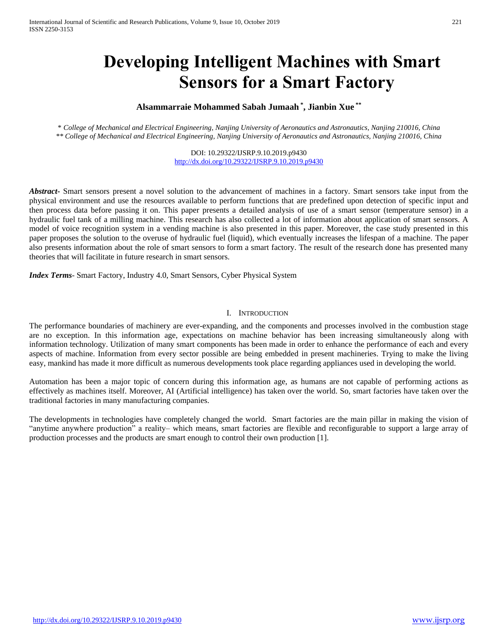# **Developing Intelligent Machines with Smart Sensors for a Smart Factory**

# **Alsammarraie Mohammed Sabah Jumaah \* , Jianbin Xue \*\***

*\* College of Mechanical and Electrical Engineering, Nanjing University of Aeronautics and Astronautics, Nanjing 210016, China \*\* College of Mechanical and Electrical Engineering, Nanjing University of Aeronautics and Astronautics, Nanjing 210016, China*

> DOI: 10.29322/IJSRP.9.10.2019.p9430 <http://dx.doi.org/10.29322/IJSRP.9.10.2019.p9430>

*Abstract***-** Smart sensors present a novel solution to the advancement of machines in a factory. Smart sensors take input from the physical environment and use the resources available to perform functions that are predefined upon detection of specific input and then process data before passing it on. This paper presents a detailed analysis of use of a smart sensor (temperature sensor) in a hydraulic fuel tank of a milling machine. This research has also collected a lot of information about application of smart sensors. A model of voice recognition system in a vending machine is also presented in this paper. Moreover, the case study presented in this paper proposes the solution to the overuse of hydraulic fuel (liquid), which eventually increases the lifespan of a machine. The paper also presents information about the role of smart sensors to form a smart factory. The result of the research done has presented many theories that will facilitate in future research in smart sensors.

*Index Terms*- Smart Factory, Industry 4.0, Smart Sensors, Cyber Physical System

#### I. INTRODUCTION

The performance boundaries of machinery are ever-expanding, and the components and processes involved in the combustion stage are no exception. In this information age, expectations on machine behavior has been increasing simultaneously along with information technology. Utilization of many smart components has been made in order to enhance the performance of each and every aspects of machine. Information from every sector possible are being embedded in present machineries. Trying to make the living easy, mankind has made it more difficult as numerous developments took place regarding appliances used in developing the world.

Automation has been a major topic of concern during this information age, as humans are not capable of performing actions as effectively as machines itself. Moreover, AI (Artificial intelligence) has taken over the world. So, smart factories have taken over the traditional factories in many manufacturing companies.

The developments in technologies have completely changed the world. Smart factories are the main pillar in making the vision of "anytime anywhere production" a reality– which means, smart factories are flexible and reconfigurable to support a large array of production processes and the products are smart enough to control their own production [1].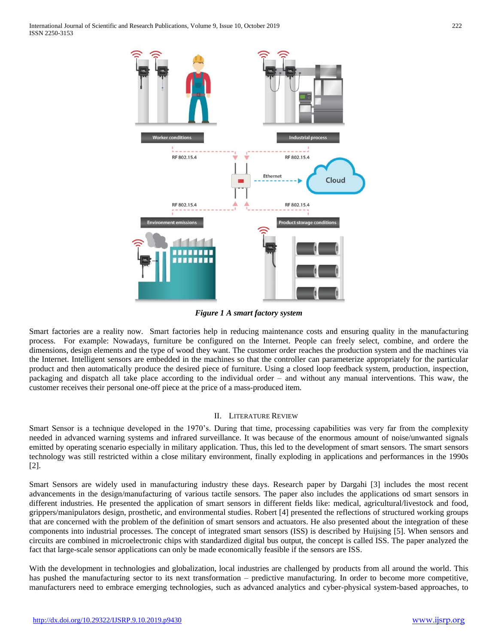

*Figure 1 A smart factory system*

Smart factories are a reality now. Smart factories help in reducing maintenance costs and ensuring quality in the manufacturing process. For example: Nowadays, furniture be configured on the Internet. People can freely select, combine, and ordere the dimensions, design elements and the type of wood they want. The customer order reaches the production system and the machines via the Internet. Intelligent sensors are embedded in the machines so that the controller can parameterize appropriately for the particular product and then automatically produce the desired piece of furniture. Using a closed loop feedback system, production, inspection, packaging and dispatch all take place according to the individual order – and without any manual interventions. This waw, the customer receives their personal one-off piece at the price of a mass-produced item.

## II. LITERATURE REVIEW

Smart Sensor is a technique developed in the 1970's. During that time, processing capabilities was very far from the complexity needed in advanced warning systems and infrared surveillance. It was because of the enormous amount of noise/unwanted signals emitted by operating scenario especially in military application. Thus, this led to the development of smart sensors. The smart sensors technology was still restricted within a close military environment, finally exploding in applications and performances in the 1990s [2].

Smart Sensors are widely used in manufacturing industry these days. Research paper by Dargahi [3] includes the most recent advancements in the design/manufacturing of various tactile sensors. The paper also includes the applications od smart sensors in different industries. He presented the application of smart sensors in different fields like: medical, agricultural/livestock and food, grippers/manipulators design, prosthetic, and environmental studies. Robert [4] presented the reflections of structured working groups that are concerned with the problem of the definition of smart sensors and actuators. He also presented about the integration of these components into industrial processes. The concept of integrated smart sensors (ISS) is described by Huijsing [5]. When sensors and circuits are combined in microelectronic chips with standardized digital bus output, the concept is called ISS. The paper analyzed the fact that large-scale sensor applications can only be made economically feasible if the sensors are ISS.

With the development in technologies and globalization, local industries are challenged by products from all around the world. This has pushed the manufacturing sector to its next transformation – predictive manufacturing. In order to become more competitive, manufacturers need to embrace emerging technologies, such as advanced analytics and cyber-physical system-based approaches, to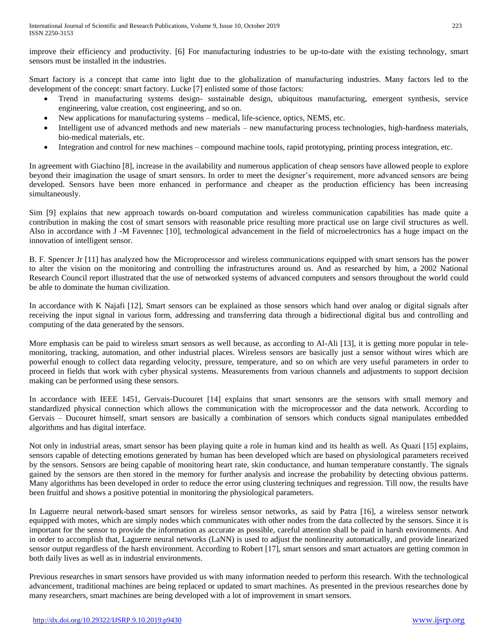improve their efficiency and productivity. [6] For manufacturing industries to be up-to-date with the existing technology, smart sensors must be installed in the industries.

Smart factory is a concept that came into light due to the globalization of manufacturing industries. Many factors led to the development of the concept: smart factory. Lucke [7] enlisted some of those factors:

- Trend in manufacturing systems design- sustainable design, ubiquitous manufacturing, emergent synthesis, service engineering, value creation, cost engineering, and so on.
- New applications for manufacturing systems medical, life-science, optics, NEMS, etc.
- Intelligent use of advanced methods and new materials new manufacturing process technologies, high-hardness materials, bio-medical materials, etc.
- Integration and control for new machines compound machine tools, rapid prototyping, printing process integration, etc.

In agreement with Giachino [8], increase in the availability and numerous application of cheap sensors have allowed people to explore beyond their imagination the usage of smart sensors. In order to meet the designer's requirement, more advanced sensors are being developed. Sensors have been more enhanced in performance and cheaper as the production efficiency has been increasing simultaneously.

Sim [9] explains that new approach towards on-board computation and wireless communication capabilities has made quite a contribution in making the cost of smart sensors with reasonable price resulting more practical use on large civil structures as well. Also in accordance with J -M Favennec [10], technological advancement in the field of microelectronics has a huge impact on the innovation of intelligent sensor.

B. F. Spencer Jr [11] has analyzed how the Microprocessor and wireless communications equipped with smart sensors has the power to alter the vision on the monitoring and controlling the infrastructures around us. And as researched by him, a 2002 National Research Council report illustrated that the use of networked systems of advanced computers and sensors throughout the world could be able to dominate the human civilization.

In accordance with K Najafi [12], Smart sensors can be explained as those sensors which hand over analog or digital signals after receiving the input signal in various form, addressing and transferring data through a bidirectional digital bus and controlling and computing of the data generated by the sensors.

More emphasis can be paid to wireless smart sensors as well because, as according to Al-Ali [13], it is getting more popular in telemonitoring, tracking, automation, and other industrial places. Wireless sensors are basically just a sensor without wires which are powerful enough to collect data regarding velocity, pressure, temperature, and so on which are very useful parameters in order to proceed in fields that work with cyber physical systems. Measurements from various channels and adjustments to support decision making can be performed using these sensors.

In accordance with IEEE 1451, Gervais-Ducouret [14] explains that smart sensonrs are the sensors with small memory and standardized physical connection which allows the communication with the microprocessor and the data network. According to Gervais – Ducouret himself, smart sensors are basically a combination of sensors which conducts signal manipulates embedded algorithms and has digital interface.

Not only in industrial areas, smart sensor has been playing quite a role in human kind and its health as well. As Quazi [15] explains, sensors capable of detecting emotions generated by human has been developed which are based on physiological parameters received by the sensors. Sensors are being capable of monitoring heart rate, skin conductance, and human temperature constantly. The signals gained by the sensors are then stored in the memory for further analysis and increase the probability by detecting obvious patterns. Many algorithms has been developed in order to reduce the error using clustering techniques and regression. Till now, the results have been fruitful and shows a positive potential in monitoring the physiological parameters.

In Laguerre neural network-based smart sensors for wireless sensor networks, as said by Patra [16], a wireless sensor network equipped with motes, which are simply nodes which communicates with other nodes from the data collected by the sensors. Since it is important for the sensor to provide the information as accurate as possible, careful attention shall be paid in harsh environments. And in order to accomplish that, Laguerre neural networks (LaNN) is used to adjust the nonlinearity automatically, and provide linearized sensor output regardless of the harsh environment. According to Robert [17], smart sensors and smart actuators are getting common in both daily lives as well as in industrial environments.

Previous researches in smart sensors have provided us with many information needed to perform this research. With the technological advancement, traditional machines are being replaced or updated to smart machines. As presented in the previous researches done by many researchers, smart machines are being developed with a lot of improvement in smart sensors.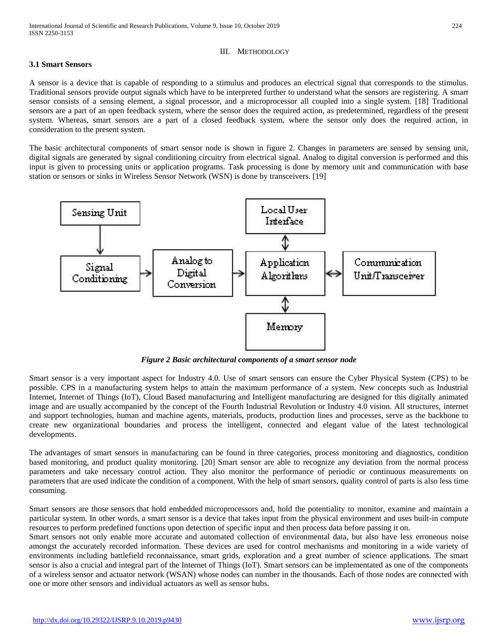## III. METHODOLOGY

## **3.1 Smart Sensors**

A sensor is a device that is capable of responding to a stimulus and produces an electrical signal that corresponds to the stimulus. Traditional sensors provide output signals which have to be interpreted further to understand what the sensors are registering. A smart sensor consists of a sensing element, a signal processor, and a microprocessor all coupled into a single system. [18] Traditional sensors are a part of an open feedback system, where the sensor does the required action, as predetermined, regardless of the present system. Whereas, smart sensors are a part of a closed feedback system, where the sensor only does the required action, in consideration to the present system.

The basic architectural components of smart sensor node is shown in figure 2. Changes in parameters are sensed by sensing unit, digital signals are generated by signal conditioning circuitry from electrical signal. Analog to digital conversion is performed and this input is given to processing units or application programs. Task processing is done by memory unit and communication with base station or sensors or sinks in Wireless Sensor Network (WSN) is done by transceivers. [19]



*Figure 2 Basic architectural components of a smart sensor node*

Smart sensor is a very important aspect for Industry 4.0. Use of smart sensors can ensure the Cyber Physical System (CPS) to be possible. CPS in a manufacturing system helps to attain the maximum performance of a system. New concepts such as Industrial Internet, Internet of Things (IoT), Cloud Based manufacturing and Intelligent manufacturing are designed for this digitally animated image and are usually accompanied by the concept of the Fourth Industrial Revolution or Industry 4.0 vision. All structures, internet and support technologies, human and machine agents, materials, products, production lines and processes, serve as the backbone to create new organizational boundaries and process the intelligent, connected and elegant value of the latest technological developments.

The advantages of smart sensors in manufacturing can be found in three categories, process monitoring and diagnostics, condition based monitoring, and product quality monitoring. [20] Smart sensor are able to recognize any deviation from the normal process parameters and take necessary control action. They also monitor the performance of periodic or continuous measurements on parameters that are used indicate the condition of a component. With the help of smart sensors, quality control of parts is also less time consuming.

Smart sensors are those sensors that hold embedded [microprocessors](https://www.mepits.com/tutorial/79/Microprocessor/Microprocessor) and, hold the potentiality to monitor, examine and maintain a particular system. In other words, a smart sensor is a device that takes input from the physical environment and uses built-in compute resources to perform predefined functions upon detection of specific input and then process data before passing it on.

Smart sensors not only enable more accurate and automated collection of environmental data, but also have less erroneous [noise](http://whatis.techtarget.com/definition/noise) amongst the accurately recorded information. These devices are used for control mechanisms and monitoring in a wide variety of environments including battlefield reconnaissance, smart grids, exploration and a great number of science applications. The smart sensor is also a crucial and integral part of the Internet of Things (IoT). Smart sensors can be implementated as one of the components of a wireless sensor and actuator network [\(WSAN\)](http://whatis.techtarget.com/definition/WSAN-wireless-sensor-and-actuator-network) whose [nodes](http://searchnetworking.techtarget.com/definition/node) can number in the thousands. Each of those nodes are connected with one or more other sensors and individual [actuators](http://searchmanufacturingerp.techtarget.com/definition/actuator) as well as [sensor hubs.](http://whatis.techtarget.com/definition/sensor-hub)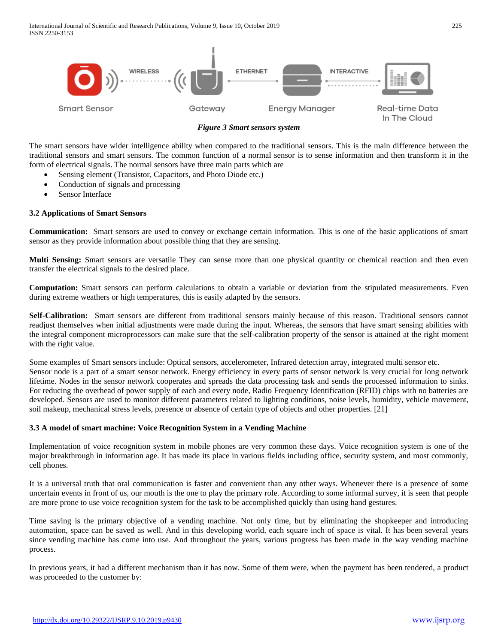

*Figure 3 Smart sensors system*

The smart sensors have wider intelligence ability when compared to the traditional sensors. This is the main difference between the traditional sensors and smart sensors. The common function of a normal sensor is to sense information and then transform it in the form of electrical signals. The normal sensors have three main parts which are

- Sensing element (Transistor, Capacitors, and Photo Diode etc.)
- Conduction of signals and processing
- Sensor Interface

#### **3.2 Applications of Smart Sensors**

**Communication:** Smart sensors are used to convey or exchange certain information. This is one of the basic applications of smart sensor as they provide information about possible thing that they are sensing.

**Multi Sensing:** Smart sensors are versatile They can sense more than one physical quantity or chemical reaction and then even transfer the electrical signals to the desired place.

**Computation:** Smart sensors can perform calculations to obtain a variable or deviation from the stipulated measurements. Even during extreme weathers or high temperatures, this is easily adapted by the sensors.

**Self-Calibration:** Smart sensors are different from traditional sensors mainly because of this reason. Traditional sensors cannot readjust themselves when initial adjustments were made during the input. Whereas, the sensors that have smart sensing abilities with the integral component microprocessors can make sure that the self-calibration property of the sensor is attained at the right moment with the right value.

Some examples of Smart sensors include: Optical sensors, accelerometer, Infrared detection array, integrated multi sensor etc. Sensor node is a part of a smart sensor network. Energy efficiency in every parts of sensor network is very crucial for long network lifetime. Nodes in the sensor network cooperates and spreads the data processing task and sends the processed information to sinks. For reducing the overhead of power supply of each and every node, Radio Frequency Identification (RFID) chips with no batteries are developed. Sensors are used to monitor different parameters related to lighting conditions, noise levels, humidity, vehicle movement, soil makeup, mechanical stress levels, presence or absence of certain type of objects and other properties. [21]

#### **3.3 A model of smart machine: Voice Recognition System in a Vending Machine**

Implementation of voice recognition system in mobile phones are very common these days. Voice recognition system is one of the major breakthrough in information age. It has made its place in various fields including office, security system, and most commonly, cell phones.

It is a universal truth that oral communication is faster and convenient than any other ways. Whenever there is a presence of some uncertain events in front of us, our mouth is the one to play the primary role. According to some informal survey, it is seen that people are more prone to use voice recognition system for the task to be accomplished quickly than using hand gestures.

Time saving is the primary objective of a vending machine. Not only time, but by eliminating the shopkeeper and introducing automation, space can be saved as well. And in this developing world, each square inch of space is vital. It has been several years since vending machine has come into use. And throughout the years, various progress has been made in the way vending machine process.

In previous years, it had a different mechanism than it has now. Some of them were, when the payment has been tendered, a product was proceeded to the customer by: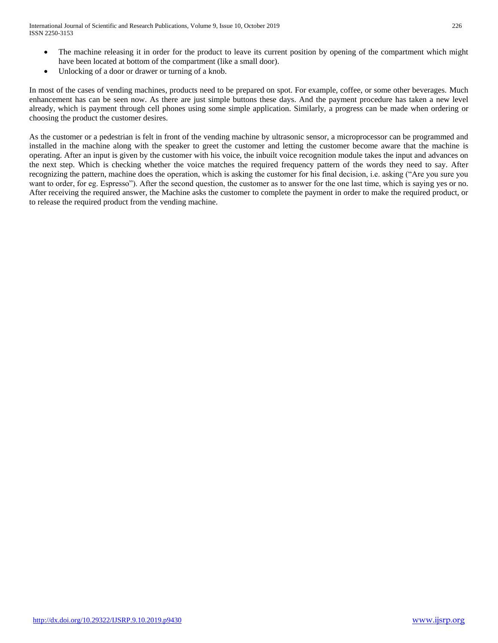- The machine releasing it in order for the product to leave its current position by opening of the compartment which might have been located at bottom of the compartment (like a small door).
- Unlocking of a door or drawer or turning of a knob.

In most of the cases of vending machines, products need to be prepared on spot. For example, coffee, or some other beverages. Much enhancement has can be seen now. As there are just simple buttons these days. And the payment procedure has taken a new level already, which is payment through cell phones using some simple application. Similarly, a progress can be made when ordering or choosing the product the customer desires.

As the customer or a pedestrian is felt in front of the vending machine by ultrasonic sensor, a microprocessor can be programmed and installed in the machine along with the speaker to greet the customer and letting the customer become aware that the machine is operating. After an input is given by the customer with his voice, the inbuilt voice recognition module takes the input and advances on the next step. Which is checking whether the voice matches the required frequency pattern of the words they need to say. After recognizing the pattern, machine does the operation, which is asking the customer for his final decision, i.e. asking ("Are you sure you want to order, for eg. Espresso"). After the second question, the customer as to answer for the one last time, which is saying yes or no. After receiving the required answer, the Machine asks the customer to complete the payment in order to make the required product, or to release the required product from the vending machine.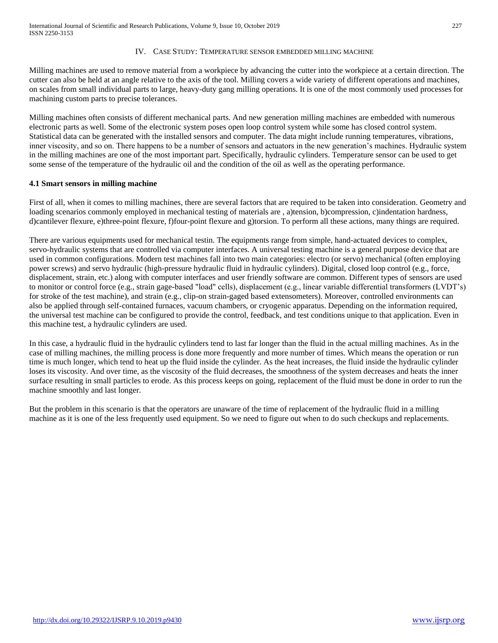#### IV. CASE STUDY: TEMPERATURE SENSOR EMBEDDED MILLING MACHINE

Milling machines are used to remove material from a workpiece by advancing the cutter into the workpiece at a certain direction. The cutter can also be held at an angle relative to the axis of the tool. Milling covers a wide variety of different operations and machines, on scales from small individual parts to large, heavy-duty gang milling operations. It is one of the most commonly used processes for machining custom parts to precise tolerances.

Milling machines often consists of different mechanical parts. And new generation milling machines are embedded with numerous electronic parts as well. Some of the electronic system poses open loop control system while some has closed control system. Statistical data can be generated with the installed sensors and computer. The data might include running temperatures, vibrations, inner viscosity, and so on. There happens to be a number of sensors and actuators in the new generation's machines. Hydraulic system in the milling machines are one of the most important part. Specifically, hydraulic cylinders. Temperature sensor can be used to get some sense of the temperature of the hydraulic oil and the condition of the oil as well as the operating performance.

## **4.1 Smart sensors in milling machine**

First of all, when it comes to milling machines, there are several factors that are required to be taken into consideration. Geometry and loading scenarios commonly employed in mechanical testing of materials are , a)tension, b)compression, c)indentation hardness, d)cantilever flexure, e)three-point flexure, f)four-point flexure and g)torsion. To perform all these actions, many things are required.

There are various equipments used for mechanical testin. The equipments range from simple, hand-actuated devices to complex, servo-hydraulic systems that are controlled via computer interfaces. A universal testing machine is a general purpose device that are used in common configurations. Modern test machines fall into two main categories: electro (or servo) mechanical (often employing power screws) and servo hydraulic (high-pressure hydraulic fluid in hydraulic cylinders). Digital, closed loop control (e.g., force, displacement, strain, etc.) along with computer interfaces and user friendly software are common. Different types of sensors are used to monitor or control force (e.g., strain gage-based "load" cells), displacement (e.g., linear variable differential transformers (LVDT's) for stroke of the test machine), and strain (e.g., clip-on strain-gaged based extensometers). Moreover, controlled environments can also be applied through self-contained furnaces, vacuum chambers, or cryogenic apparatus. Depending on the information required, the universal test machine can be configured to provide the control, feedback, and test conditions unique to that application. Even in this machine test, a hydraulic cylinders are used.

In this case, a hydraulic fluid in the hydraulic cylinders tend to last far longer than the fluid in the actual milling machines. As in the case of milling machines, the milling process is done more frequently and more number of times. Which means the operation or run time is much longer, which tend to heat up the fluid inside the cylinder. As the heat increases, the fluid inside the hydraulic cylinder loses its viscosity. And over time, as the viscosity of the fluid decreases, the smoothness of the system decreases and heats the inner surface resulting in small particles to erode. As this process keeps on going, replacement of the fluid must be done in order to run the machine smoothly and last longer.

But the problem in this scenario is that the operators are unaware of the time of replacement of the hydraulic fluid in a milling machine as it is one of the less frequently used equipment. So we need to figure out when to do such checkups and replacements.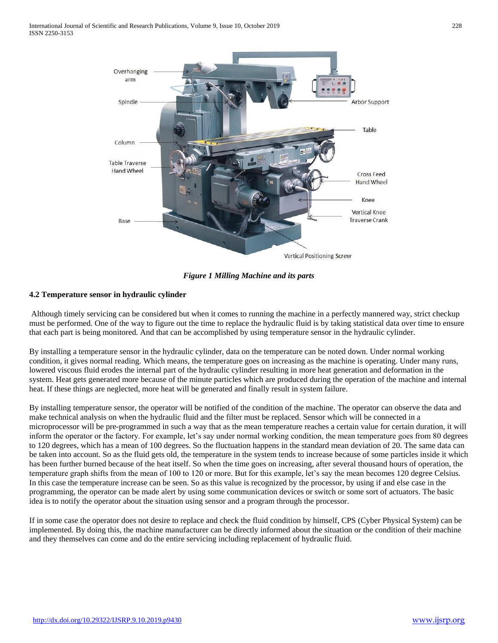

*Figure 1 Milling Machine and its parts*

# **4.2 Temperature sensor in hydraulic cylinder**

Although timely servicing can be considered but when it comes to running the machine in a perfectly mannered way, strict checkup must be performed. One of the way to figure out the time to replace the hydraulic fluid is by taking statistical data over time to ensure that each part is being monitored. And that can be accomplished by using temperature sensor in the hydraulic cylinder.

By installing a temperature sensor in the hydraulic cylinder, data on the temperature can be noted down. Under normal working condition, it gives normal reading. Which means, the temperature goes on increasing as the machine is operating. Under many runs, lowered viscous fluid erodes the internal part of the hydraulic cylinder resulting in more heat generation and deformation in the system. Heat gets generated more because of the minute particles which are produced during the operation of the machine and internal heat. If these things are neglected, more heat will be generated and finally result in system failure.

By installing temperature sensor, the operator will be notified of the condition of the machine. The operator can observe the data and make technical analysis on when the hydraulic fluid and the filter must be replaced. Sensor which will be connected in a microprocessor will be pre-programmed in such a way that as the mean temperature reaches a certain value for certain duration, it will inform the operator or the factory. For example, let's say under normal working condition, the mean temperature goes from 80 degrees to 120 degrees, which has a mean of 100 degrees. So the fluctuation happens in the standard mean deviation of 20. The same data can be taken into account. So as the fluid gets old, the temperature in the system tends to increase because of some particles inside it which has been further burned because of the heat itself. So when the time goes on increasing, after several thousand hours of operation, the temperature graph shifts from the mean of 100 to 120 or more. But for this example, let's say the mean becomes 120 degree Celsius. In this case the temperature increase can be seen. So as this value is recognized by the processor, by using if and else case in the programming, the operator can be made alert by using some communication devices or switch or some sort of actuators. The basic idea is to notify the operator about the situation using sensor and a program through the processor.

If in some case the operator does not desire to replace and check the fluid condition by himself, CPS (Cyber Physical System) can be implemented. By doing this, the machine manufacturer can be directly informed about the situation or the condition of their machine and they themselves can come and do the entire servicing including replacement of hydraulic fluid.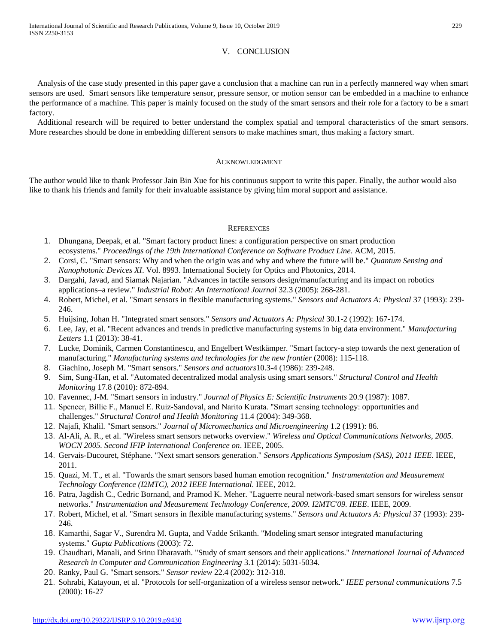## V. CONCLUSION

Analysis of the case study presented in this paper gave a conclusion that a machine can run in a perfectly mannered way when smart sensors are used. Smart sensors like temperature sensor, pressure sensor, or motion sensor can be embedded in a machine to enhance the performance of a machine. This paper is mainly focused on the study of the smart sensors and their role for a factory to be a smart factory.

Additional research will be required to better understand the complex spatial and temporal characteristics of the smart sensors. More researches should be done in embedding different sensors to make machines smart, thus making a factory smart.

#### ACKNOWLEDGMENT

The author would like to thank Professor Jain Bin Xue for his continuous support to write this paper. Finally, the author would also like to thank his friends and family for their invaluable assistance by giving him moral support and assistance.

#### **REFERENCES**

- 1. Dhungana, Deepak, et al. "Smart factory product lines: a configuration perspective on smart production ecosystems." *Proceedings of the 19th International Conference on Software Product Line*. ACM, 2015.
- 2. Corsi, C. "Smart sensors: Why and when the origin was and why and where the future will be." *Quantum Sensing and Nanophotonic Devices XI*. Vol. 8993. International Society for Optics and Photonics, 2014.
- 3. Dargahi, Javad, and Siamak Najarian. "Advances in tactile sensors design/manufacturing and its impact on robotics applications–a review." *Industrial Robot: An International Journal* 32.3 (2005): 268-281.
- 4. Robert, Michel, et al. "Smart sensors in flexible manufacturing systems." *Sensors and Actuators A: Physical* 37 (1993): 239- 246.
- 5. Huijsing, Johan H. "Integrated smart sensors." *Sensors and Actuators A: Physical* 30.1-2 (1992): 167-174.
- 6. Lee, Jay, et al. "Recent advances and trends in predictive manufacturing systems in big data environment." *Manufacturing Letters* 1.1 (2013): 38-41.
- 7. Lucke, Dominik, Carmen Constantinescu, and Engelbert Westkämper. "Smart factory-a step towards the next generation of manufacturing." *Manufacturing systems and technologies for the new frontier* (2008): 115-118.
- 8. Giachino, Joseph M. "Smart sensors." *Sensors and actuators*10.3-4 (1986): 239-248.
- 9. Sim, Sung-Han, et al. "Automated decentralized modal analysis using smart sensors." *Structural Control and Health Monitoring* 17.8 (2010): 872-894.
- 10. Favennec, J-M. "Smart sensors in industry." *Journal of Physics E: Scientific Instruments* 20.9 (1987): 1087.
- 11. Spencer, Billie F., Manuel E. Ruiz‐Sandoval, and Narito Kurata. "Smart sensing technology: opportunities and challenges." *Structural Control and Health Monitoring* 11.4 (2004): 349-368.
- 12. Najafi, Khalil. "Smart sensors." *Journal of Micromechanics and Microengineering* 1.2 (1991): 86.
- 13. Al-Ali, A. R., et al. "Wireless smart sensors networks overview." *Wireless and Optical Communications Networks, 2005. WOCN 2005. Second IFIP International Conference on*. IEEE, 2005.
- 14. Gervais-Ducouret, Stéphane. "Next smart sensors generation." *Sensors Applications Symposium (SAS), 2011 IEEE*. IEEE, 2011.
- 15. Quazi, M. T., et al. "Towards the smart sensors based human emotion recognition." *Instrumentation and Measurement Technology Conference (I2MTC), 2012 IEEE International*. IEEE, 2012.
- 16. Patra, Jagdish C., Cedric Bornand, and Pramod K. Meher. "Laguerre neural network-based smart sensors for wireless sensor networks." *Instrumentation and Measurement Technology Conference, 2009. I2MTC'09. IEEE*. IEEE, 2009.
- 17. Robert, Michel, et al. "Smart sensors in flexible manufacturing systems." *Sensors and Actuators A: Physical* 37 (1993): 239- 246.
- 18. Kamarthi, Sagar V., Surendra M. Gupta, and Vadde Srikanth. "Modeling smart sensor integrated manufacturing systems." *Gupta Publications* (2003): 72.
- 19. Chaudhari, Manali, and Srinu Dharavath. "Study of smart sensors and their applications." *International Journal of Advanced Research in Computer and Communication Engineering* 3.1 (2014): 5031-5034.
- 20. Ranky, Paul G. "Smart sensors." *Sensor review* 22.4 (2002): 312-318.
- 21. Sohrabi, Katayoun, et al. "Protocols for self-organization of a wireless sensor network." *IEEE personal communications* 7.5 (2000): 16-27